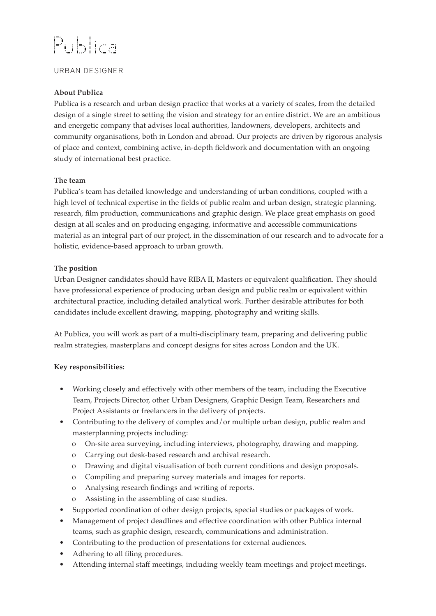# Publica

## URBAN DESIGNER

### **About Publica**

Publica is a research and urban design practice that works at a variety of scales, from the detailed design of a single street to setting the vision and strategy for an entire district. We are an ambitious and energetic company that advises local authorities, landowners, developers, architects and community organisations, both in London and abroad. Our projects are driven by rigorous analysis of place and context, combining active, in-depth fieldwork and documentation with an ongoing study of international best practice.

### **The team**

Publica's team has detailed knowledge and understanding of urban conditions, coupled with a high level of technical expertise in the fields of public realm and urban design, strategic planning, research, film production, communications and graphic design. We place great emphasis on good design at all scales and on producing engaging, informative and accessible communications material as an integral part of our project, in the dissemination of our research and to advocate for a holistic, evidence-based approach to urban growth.

### **The position**

Urban Designer candidates should have RIBA II, Masters or equivalent qualification. They should have professional experience of producing urban design and public realm or equivalent within architectural practice, including detailed analytical work. Further desirable attributes for both candidates include excellent drawing, mapping, photography and writing skills.

At Publica, you will work as part of a multi-disciplinary team, preparing and delivering public realm strategies, masterplans and concept designs for sites across London and the UK.

#### **Key responsibilities:**

- Working closely and effectively with other members of the team, including the Executive Team, Projects Director, other Urban Designers, Graphic Design Team, Researchers and Project Assistants or freelancers in the delivery of projects.
- Contributing to the delivery of complex and/or multiple urban design, public realm and masterplanning projects including:
	- o On-site area surveying, including interviews, photography, drawing and mapping.
	- o Carrying out desk-based research and archival research.
	- o Drawing and digital visualisation of both current conditions and design proposals.
	- o Compiling and preparing survey materials and images for reports.
	- o Analysing research findings and writing of reports.
	- o Assisting in the assembling of case studies.
- Supported coordination of other design projects, special studies or packages of work.
- Management of project deadlines and effective coordination with other Publica internal teams, such as graphic design, research, communications and administration.
- Contributing to the production of presentations for external audiences.
- Adhering to all filing procedures.
- Attending internal staff meetings, including weekly team meetings and project meetings.